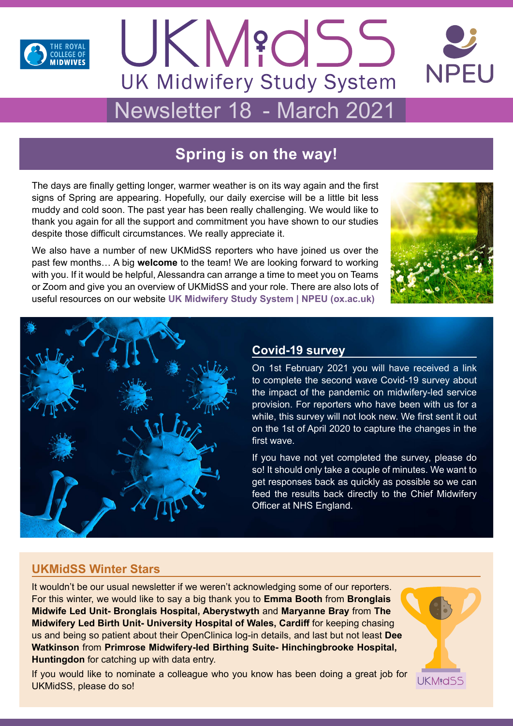





# Newsletter 18 - March 2021

## **Spring is on the way!**

The days are finally getting longer, warmer weather is on its way again and the first signs of Spring are appearing. Hopefully, our daily exercise will be a little bit less muddy and cold soon. The past year has been really challenging. We would like to thank you again for all the support and commitment you have shown to our studies despite those difficult circumstances. We really appreciate it.

We also have a number of new UKMidSS reporters who have joined us over the past few months… A big **welcome** to the team! We are looking forward to working with you. If it would be helpful, Alessandra can arrange a time to meet you on Teams or Zoom and give you an overview of UKMidSS and your role. There are also lots of useful resources on our website **[UK Midwifery Study System | NPEU \(ox.ac.uk\)](https://www.npeu.ox.ac.uk/ukmidss)**





## **Covid-19 survey**

On 1st February 2021 you will have received a link to complete the second wave Covid-19 survey about the impact of the pandemic on midwifery-led service provision. For reporters who have been with us for a while, this survey will not look new. We first sent it out on the 1st of April 2020 to capture the changes in the first wave.

If you have not yet completed the survey, please do so! It should only take a couple of minutes. We want to get responses back as quickly as possible so we can feed the results back directly to the Chief Midwifery Officer at NHS England.

## **UKMidSS Winter Stars**

It wouldn't be our usual newsletter if we weren't acknowledging some of our reporters. For this winter, we would like to say a big thank you to **Emma Booth** from **Bronglais Midwife Led Unit- Bronglais Hospital, Aberystwyth** and **Maryanne Bray** from **The Midwifery Led Birth Unit- University Hospital of Wales, Cardiff** for keeping chasing us and being so patient about their OpenClinica log-in details, and last but not least **Dee Watkinson** from **Primrose Midwifery-led Birthing Suite- Hinchingbrooke Hospital, Huntingdon** for catching up with data entry.

If you would like to nominate a colleague who you know has been doing a great job for UKMidSS, please do so!

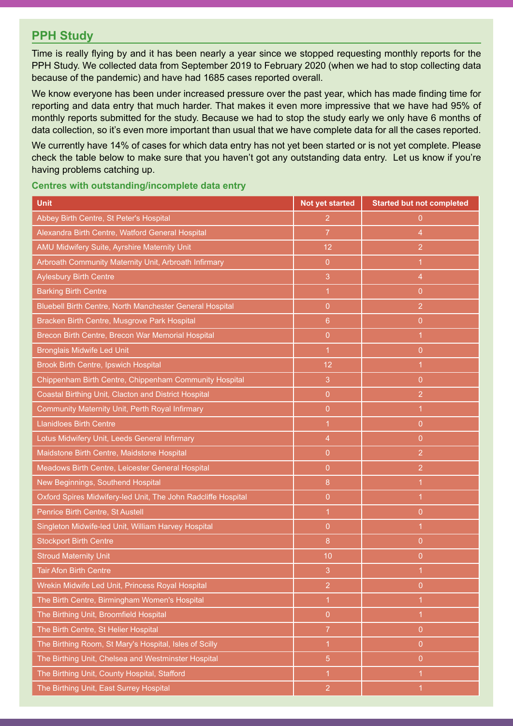## **PPH Study**

Time is really flying by and it has been nearly a year since we stopped requesting monthly reports for the PPH Study. We collected data from September 2019 to February 2020 (when we had to stop collecting data because of the pandemic) and have had 1685 cases reported overall.

We know everyone has been under increased pressure over the past year, which has made finding time for reporting and data entry that much harder. That makes it even more impressive that we have had 95% of monthly reports submitted for the study. Because we had to stop the study early we only have 6 months of data collection, so it's even more important than usual that we have complete data for all the cases reported.

We currently have 14% of cases for which data entry has not yet been started or is not yet complete. Please check the table below to make sure that you haven't got any outstanding data entry. Let us know if you're having problems catching up.

| Centres with outstanding/incomplete data entry |  |  |  |  |
|------------------------------------------------|--|--|--|--|
|------------------------------------------------|--|--|--|--|

| <b>Unit</b>                                                   | Not yet started | <b>Started but not completed</b> |
|---------------------------------------------------------------|-----------------|----------------------------------|
| Abbey Birth Centre, St Peter's Hospital                       | $\overline{2}$  | 0                                |
| Alexandra Birth Centre, Watford General Hospital              | $\overline{7}$  | $\overline{4}$                   |
| AMU Midwifery Suite, Ayrshire Maternity Unit                  | 12              | $\overline{2}$                   |
| Arbroath Community Maternity Unit, Arbroath Infirmary         | $\overline{0}$  | $\overline{1}$                   |
| <b>Aylesbury Birth Centre</b>                                 | 3               | $\overline{4}$                   |
| <b>Barking Birth Centre</b>                                   | 1               | $\overline{0}$                   |
| Bluebell Birth Centre, North Manchester General Hospital      | $\overline{0}$  | $\overline{2}$                   |
| Bracken Birth Centre, Musgrove Park Hospital                  | $6\phantom{1}$  | $\overline{0}$                   |
| Brecon Birth Centre, Brecon War Memorial Hospital             | $\overline{0}$  | $\overline{1}$                   |
| <b>Bronglais Midwife Led Unit</b>                             | $\overline{1}$  | $\overline{0}$                   |
| <b>Brook Birth Centre, Ipswich Hospital</b>                   | 12              | $\overline{1}$                   |
| Chippenham Birth Centre, Chippenham Community Hospital        | 3               | $\overline{0}$                   |
| Coastal Birthing Unit, Clacton and District Hospital          | $\overline{0}$  | $\overline{2}$                   |
| Community Maternity Unit, Perth Royal Infirmary               | $\overline{0}$  | $\overline{1}$                   |
| <b>Llanidloes Birth Centre</b>                                | 1               | $\overline{0}$                   |
| Lotus Midwifery Unit, Leeds General Infirmary                 | 4               | $\overline{0}$                   |
| Maidstone Birth Centre, Maidstone Hospital                    | $\overline{0}$  | $\overline{2}$                   |
| Meadows Birth Centre, Leicester General Hospital              | $\overline{0}$  | $\overline{2}$                   |
| New Beginnings, Southend Hospital                             | 8               | $\mathbf 1$                      |
| Oxford Spires Midwifery-led Unit, The John Radcliffe Hospital | $\overline{0}$  | 1                                |
| Penrice Birth Centre, St Austell                              | 1               | $\overline{0}$                   |
| Singleton Midwife-led Unit, William Harvey Hospital           | $\overline{0}$  | $\overline{1}$                   |
| <b>Stockport Birth Centre</b>                                 | 8               | $\overline{0}$                   |
| <b>Stroud Maternity Unit</b>                                  | 10              | $\overline{0}$                   |
| <b>Tair Afon Birth Centre</b>                                 | 3               | $\mathbf 1$                      |
| Wrekin Midwife Led Unit, Princess Royal Hospital              | $\overline{c}$  | 0                                |
| The Birth Centre, Birmingham Women's Hospital                 | 1               | 1                                |
| The Birthing Unit, Broomfield Hospital                        | $\overline{0}$  | $\mathbf{1}$                     |
| The Birth Centre, St Helier Hospital                          | $\overline{7}$  | $\overline{0}$                   |
| The Birthing Room, St Mary's Hospital, Isles of Scilly        | $\overline{1}$  | $\overline{0}$                   |
| The Birthing Unit, Chelsea and Westminster Hospital           | $\sqrt{5}$      | $\overline{0}$                   |
| The Birthing Unit, County Hospital, Stafford                  | 1               | 1                                |
| The Birthing Unit, East Surrey Hospital                       | $\overline{2}$  | 1                                |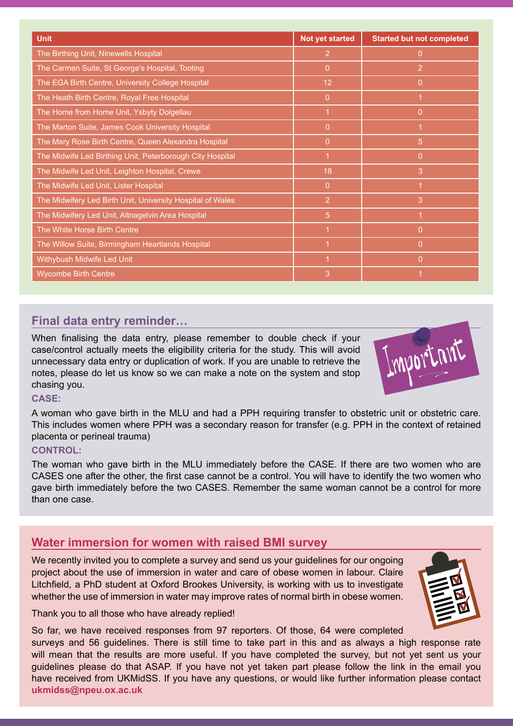| <b>Unit</b>                                                | <b>Not yet started</b> | <b>Started but not completed</b> |
|------------------------------------------------------------|------------------------|----------------------------------|
| The Birthing Unit, Ninewells Hospital                      | $\overline{2}$         | $\overline{0}$                   |
| The Carmen Suite, St George's Hospital, Tooting            | $\mathbf{0}$           | $\overline{2}$                   |
| The EGA Birth Centre, University College Hospital          | 12 <sub>2</sub>        | $\overline{0}$                   |
| The Heath Birth Centre, Royal Free Hospital                | $\overline{0}$         | $\blacktriangleleft$             |
| The Home from Home Unit, Ysbyty Dolgellau                  | $\overline{1}$         | $\overline{0}$                   |
| The Marton Suite, James Cook University Hospital           | $\overline{0}$         |                                  |
| The Mary Rose Birth Centre, Queen Alexandra Hospital       | $\overline{0}$         | 5                                |
| The Midwife Led Birthing Unit, Peterborough City Hospital  | $\mathbf 1$            | $\overline{0}$                   |
| The Midwife Led Unit, Leighton Hospital, Crewe             | 18                     | 3                                |
| The Midwife Led Unit, Lister Hospital                      | 0                      | 1                                |
| The Midwifery Led Birth Unit, University Hospital of Wales | $\overline{2}$         | 3                                |
| The Midwifery Led Unit, Altnagelvin Area Hospital          | 5                      |                                  |
| The White Horse Birth Centre                               | 1                      | $\overline{0}$                   |
| The Willow Suite, Birmingham Heartlands Hospital           | $\overline{1}$         | $\overline{0}$                   |
| Withybush Midwife Led Unit                                 | $\overline{1}$         | $\overline{0}$                   |
| <b>Wycombe Birth Centre</b>                                | 3                      |                                  |

## **Final data entry reminder…**

When finalising the data entry, please remember to double check if your case/control actually meets the eligibility criteria for the study. This will avoid unnecessary data entry or duplication of work. If you are unable to retrieve the notes, please do let us know so we can make a note on the system and stop chasing you.



A woman who gave birth in the MLU and had a PPH requiring transfer to obstetric unit or obstetric care. This includes women where PPH was a secondary reason for transfer (e.g. PPH in the context of retained placenta or perineal trauma)

#### **CONTROL:**

The woman who gave birth in the MLU immediately before the CASE. If there are two women who are CASES one after the other, the first case cannot be a control. You will have to identify the two women who gave birth immediately before the two CASES. Remember the same woman cannot be a control for more than one case.

## **Water immersion for women with raised BMI survey**

We recently invited you to complete a survey and send us your guidelines for our ongoing project about the use of immersion in water and care of obese women in labour. Claire Litchfield, a PhD student at Oxford Brookes University, is working with us to investigate whether the use of immersion in water may improve rates of normal birth in obese women.

Thank you to all those who have already replied!

So far, we have received responses from 97 reporters. Of those, 64 were completed surveys and 56 guidelines. There is still time to take part in this and as always a high response rate will mean that the results are more useful. If you have completed the survey, but not yet sent us your guidelines please do that ASAP. If you have not yet taken part please follow the link in the email you have received from UKMidSS. If you have any questions, or would like further information please contact **[ukmidss@npeu.ox.ac.uk](mailto:ukmidss%40npeu.ox.ac.uk?subject=)**